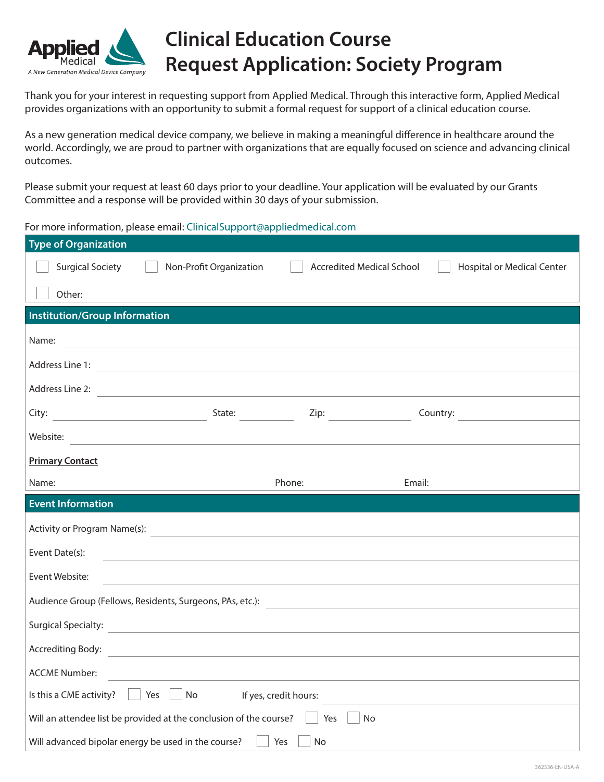

## **Clinical Education Course Request Application: Society Program**

Thank you for your interest in requesting support from Applied Medical. Through this interactive form, Applied Medical provides organizations with an opportunity to submit a formal request for support of a clinical education course.

As a new generation medical device company, we believe in making a meaningful difference in healthcare around the world. Accordingly, we are proud to partner with organizations that are equally focused on science and advancing clinical outcomes.

Please submit your request at least 60 days prior to your deadline. Your application will be evaluated by our Grants Committee and a response will be provided within 30 days of your submission.

For more information, please email: [ClinicalSupport@appliedmedical.com](mailto:ClinicalSupport%40appliedmedical.com?subject=)

| <b>Type of Organization</b>                                                                                                             |                         |                                  |                                   |  |  |  |  |  |
|-----------------------------------------------------------------------------------------------------------------------------------------|-------------------------|----------------------------------|-----------------------------------|--|--|--|--|--|
| <b>Surgical Society</b>                                                                                                                 | Non-Profit Organization | <b>Accredited Medical School</b> | <b>Hospital or Medical Center</b> |  |  |  |  |  |
| Other:                                                                                                                                  |                         |                                  |                                   |  |  |  |  |  |
| <b>Institution/Group Information</b>                                                                                                    |                         |                                  |                                   |  |  |  |  |  |
| Name:<br><u> 1980 - Johann Barbara, martxa alemaniar amerikan basar da da a shekara a shekara a shekara a shekara a sheka</u>           |                         |                                  |                                   |  |  |  |  |  |
| Address Line 1:<br><u> 1989 - Johann Stein, mars an deutscher Stein und der Stein und der Stein und der Stein und der Stein und der</u> |                         |                                  |                                   |  |  |  |  |  |
| Address Line 2:<br><u> 1980 - Johann Barbara, martxa alemaniar arg</u>                                                                  |                         |                                  |                                   |  |  |  |  |  |
| City:                                                                                                                                   | State: $\qquad \qquad$  | Zip: $\qquad \qquad$             | Country:                          |  |  |  |  |  |
| Website:<br><u> 1980 - John Stein, Amerikaansk politiker (</u>                                                                          |                         |                                  |                                   |  |  |  |  |  |
| <b>Primary Contact</b>                                                                                                                  |                         |                                  |                                   |  |  |  |  |  |
| Name:                                                                                                                                   | Phone:                  |                                  | Email:                            |  |  |  |  |  |
| <b>Event Information</b>                                                                                                                |                         |                                  |                                   |  |  |  |  |  |
| Activity or Program Name(s):                                                                                                            |                         |                                  |                                   |  |  |  |  |  |
| Event Date(s):<br><u> 1989 - Johann Stein, fransk politiker (d. 1989)</u>                                                               |                         |                                  |                                   |  |  |  |  |  |
| Event Website:                                                                                                                          |                         |                                  |                                   |  |  |  |  |  |
| Audience Group (Fellows, Residents, Surgeons, PAs, etc.): 2008. 2010. 2010. 2010. 2010. 2010. 2010. 2010. 201                           |                         |                                  |                                   |  |  |  |  |  |
| <b>Surgical Specialty:</b>                                                                                                              |                         |                                  |                                   |  |  |  |  |  |
| <b>Accrediting Body:</b>                                                                                                                |                         |                                  |                                   |  |  |  |  |  |
| <b>ACCME Number:</b>                                                                                                                    |                         |                                  |                                   |  |  |  |  |  |
| Is this a CME activity?<br>No<br>Yes<br>If yes, credit hours:                                                                           |                         |                                  |                                   |  |  |  |  |  |
| Will an attendee list be provided at the conclusion of the course?<br>No<br>Yes                                                         |                         |                                  |                                   |  |  |  |  |  |
| Will advanced bipolar energy be used in the course?<br>Yes<br>No                                                                        |                         |                                  |                                   |  |  |  |  |  |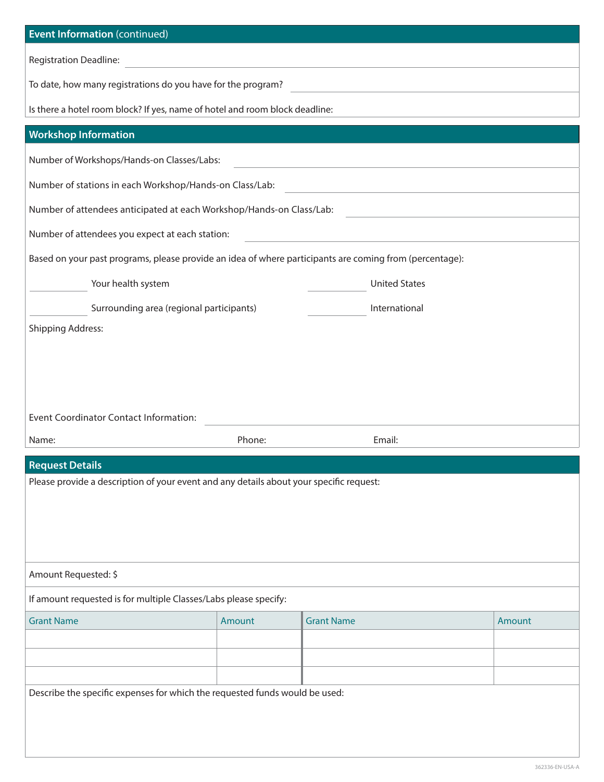| <b>Event Information (continued)</b>                                                                    |        |                   |               |        |  |  |  |  |
|---------------------------------------------------------------------------------------------------------|--------|-------------------|---------------|--------|--|--|--|--|
| Registration Deadline:                                                                                  |        |                   |               |        |  |  |  |  |
| To date, how many registrations do you have for the program?                                            |        |                   |               |        |  |  |  |  |
| Is there a hotel room block? If yes, name of hotel and room block deadline:                             |        |                   |               |        |  |  |  |  |
| <b>Workshop Information</b>                                                                             |        |                   |               |        |  |  |  |  |
| Number of Workshops/Hands-on Classes/Labs:                                                              |        |                   |               |        |  |  |  |  |
| Number of stations in each Workshop/Hands-on Class/Lab:                                                 |        |                   |               |        |  |  |  |  |
| Number of attendees anticipated at each Workshop/Hands-on Class/Lab:                                    |        |                   |               |        |  |  |  |  |
| Number of attendees you expect at each station:                                                         |        |                   |               |        |  |  |  |  |
| Based on your past programs, please provide an idea of where participants are coming from (percentage): |        |                   |               |        |  |  |  |  |
| <b>United States</b><br>Your health system                                                              |        |                   |               |        |  |  |  |  |
| Surrounding area (regional participants)                                                                |        |                   | International |        |  |  |  |  |
| <b>Shipping Address:</b>                                                                                |        |                   |               |        |  |  |  |  |
|                                                                                                         |        |                   |               |        |  |  |  |  |
|                                                                                                         |        |                   |               |        |  |  |  |  |
|                                                                                                         |        |                   |               |        |  |  |  |  |
| <b>Event Coordinator Contact Information:</b>                                                           |        |                   |               |        |  |  |  |  |
| Name:                                                                                                   | Phone: |                   | Email:        |        |  |  |  |  |
| <b>Request Details</b>                                                                                  |        |                   |               |        |  |  |  |  |
| Please provide a description of your event and any details about your specific request:                 |        |                   |               |        |  |  |  |  |
|                                                                                                         |        |                   |               |        |  |  |  |  |
|                                                                                                         |        |                   |               |        |  |  |  |  |
|                                                                                                         |        |                   |               |        |  |  |  |  |
| Amount Requested: \$                                                                                    |        |                   |               |        |  |  |  |  |
| If amount requested is for multiple Classes/Labs please specify:                                        |        |                   |               |        |  |  |  |  |
| <b>Grant Name</b>                                                                                       | Amount | <b>Grant Name</b> |               | Amount |  |  |  |  |
|                                                                                                         |        |                   |               |        |  |  |  |  |
|                                                                                                         |        |                   |               |        |  |  |  |  |
| Describe the specific expenses for which the requested funds would be used:                             |        |                   |               |        |  |  |  |  |
|                                                                                                         |        |                   |               |        |  |  |  |  |
|                                                                                                         |        |                   |               |        |  |  |  |  |
|                                                                                                         |        |                   |               |        |  |  |  |  |